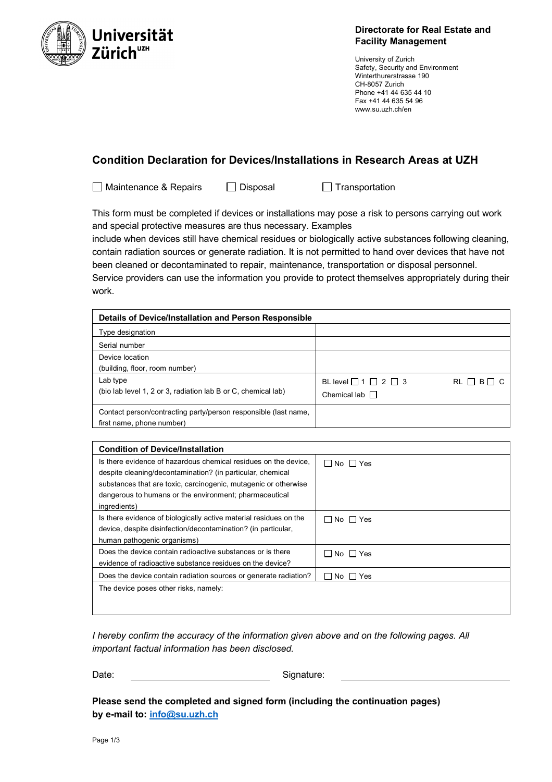

## **Directorate for Real Estate and Facility Management**

University of Zurich Safety, Security and Environment Winterthurerstrasse 190 CH-8057 Zurich Phone +41 44 635 44 10 Fax +41 44 635 54 96 www.su.uzh.ch/en

# **Condition Declaration for Devices/Installations in Research Areas at UZH**

□ Maintenance & Repairs □ Disposal □ Transportation

This form must be completed if devices or installations may pose a risk to persons carrying out work and special protective measures are thus necessary. Examples

include when devices still have chemical residues or biologically active substances following cleaning, contain radiation sources or generate radiation. It is not permitted to hand over devices that have not been cleaned or decontaminated to repair, maintenance, transportation or disposal personnel.

Service providers can use the information you provide to protect themselves appropriately during their work.

| Details of Device/Installation and Person Responsible           |                                     |                    |  |  |  |
|-----------------------------------------------------------------|-------------------------------------|--------------------|--|--|--|
| Type designation                                                |                                     |                    |  |  |  |
| Serial number                                                   |                                     |                    |  |  |  |
| Device location                                                 |                                     |                    |  |  |  |
| (building, floor, room number)                                  |                                     |                    |  |  |  |
| Lab type                                                        | BL level $\Box$ 1 $\Box$ 2 $\Box$ 3 | $RL \Box B \Box C$ |  |  |  |
| (bio lab level 1, 2 or 3, radiation lab B or C, chemical lab)   | Chemical lab $\Box$                 |                    |  |  |  |
| Contact person/contracting party/person responsible (last name, |                                     |                    |  |  |  |
| first name, phone number)                                       |                                     |                    |  |  |  |

| <b>Condition of Device/Installation</b>                           |                      |
|-------------------------------------------------------------------|----------------------|
| Is there evidence of hazardous chemical residues on the device.   | $\Box$ No $\Box$ Yes |
| despite cleaning/decontamination? (in particular, chemical        |                      |
| substances that are toxic, carcinogenic, mutagenic or otherwise   |                      |
| dangerous to humans or the environment; pharmaceutical            |                      |
| ingredients)                                                      |                      |
| Is there evidence of biologically active material residues on the | $\Box$ No $\Box$ Yes |
| device, despite disinfection/decontamination? (in particular,     |                      |
| human pathogenic organisms)                                       |                      |
| Does the device contain radioactive substances or is there        | $\Box$ No $\Box$ Yes |
| evidence of radioactive substance residues on the device?         |                      |
| Does the device contain radiation sources or generate radiation?  | INo IIYes            |
| The device poses other risks, namely:                             |                      |
|                                                                   |                      |

*I hereby confirm the accuracy of the information given above and on the following pages. All important factual information has been disclosed.*

Date: Signature:

**Please send the completed and signed form (including the continuation pages) by e-mail to: info@su.uzh.ch**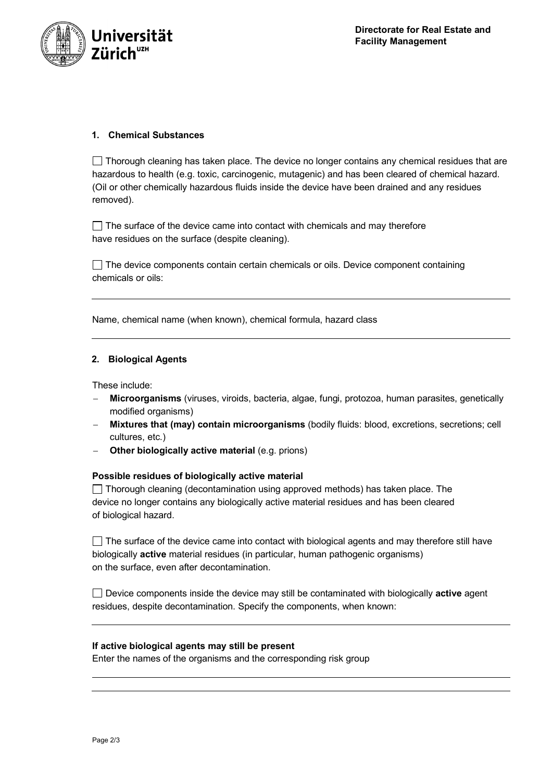

## **1. Chemical Substances**

 $\Box$  Thorough cleaning has taken place. The device no longer contains any chemical residues that are hazardous to health (e.g. toxic, carcinogenic, mutagenic) and has been cleared of chemical hazard. (Oil or other chemically hazardous fluids inside the device have been drained and any residues removed).

 $\Box$  The surface of the device came into contact with chemicals and may therefore have residues on the surface (despite cleaning).

 $\Box$  The device components contain certain chemicals or oils. Device component containing chemicals or oils:

Name, chemical name (when known), chemical formula, hazard class

### **2. Biological Agents**

These include:

- **Microorganisms** (viruses, viroids, bacteria, algae, fungi, protozoa, human parasites, genetically modified organisms)
- **Mixtures that (may) contain microorganisms** (bodily fluids: blood, excretions, secretions; cell cultures, etc.)
- **Other biologically active material** (e.g. prions)

#### **Possible residues of biologically active material**

 $\Box$  Thorough cleaning (decontamination using approved methods) has taken place. The device no longer contains any biologically active material residues and has been cleared of biological hazard.

 $\Box$  The surface of the device came into contact with biological agents and may therefore still have biologically **active** material residues (in particular, human pathogenic organisms) on the surface, even after decontamination.

Device components inside the device may still be contaminated with biologically **active** agent residues, despite decontamination. Specify the components, when known:

#### **If active biological agents may still be present**

Enter the names of the organisms and the corresponding risk group